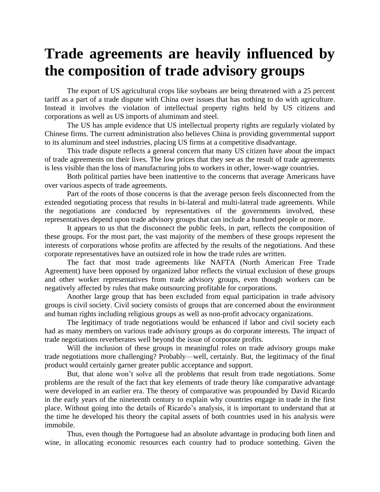## **Trade agreements are heavily influenced by the composition of trade advisory groups**

The export of US agricultural crops like soybeans are being threatened with a 25 percent tariff as a part of a trade dispute with China over issues that has nothing to do with agriculture. Instead it involves the violation of intellectual property rights held by US citizens and corporations as well as US imports of aluminum and steel.

The US has ample evidence that US intellectual property rights are regularly violated by Chinese firms. The current administration also believes China is providing governmental support to its aluminum and steel industries, placing US firms at a competitive disadvantage.

This trade dispute reflects a general concern that many US citizen have about the impact of trade agreements on their lives. The low prices that they see as the result of trade agreements is less visible than the loss of manufacturing jobs to workers in other, lower-wage countries.

Both political parties have been inattentive to the concerns that average Americans have over various aspects of trade agreements.

Part of the roots of those concerns is that the average person feels disconnected from the extended negotiating process that results in bi-lateral and multi-lateral trade agreements. While the negotiations are conducted by representatives of the governments involved, these representatives depend upon trade advisory groups that can include a hundred people or more.

It appears to us that the disconnect the public feels, in part, reflects the composition of these groups. For the most part, the vast majority of the members of these groups represent the interests of corporations whose profits are affected by the results of the negotiations. And these corporate representatives have an outsized role in how the trade rules are written.

The fact that most trade agreements like NAFTA (North American Free Trade Agreement) have been opposed by organized labor reflects the virtual exclusion of these groups and other worker representatives from trade advisory groups, even though workers can be negatively affected by rules that make outsourcing profitable for corporations.

Another large group that has been excluded from equal participation in trade advisory groups is civil society. Civil society consists of groups that are concerned about the environment and human rights including religious groups as well as non-profit advocacy organizations.

The legitimacy of trade negotiations would be enhanced if labor and civil society each had as many members on various trade advisory groups as do corporate interests. The impact of trade negotiations reverberates well beyond the issue of corporate profits.

Will the inclusion of these groups in meaningful roles on trade advisory groups make trade negotiations more challenging? Probably—well, certainly. But, the legitimacy of the final product would certainly garner greater public acceptance and support.

But, that alone won't solve all the problems that result from trade negotiations. Some problems are the result of the fact that key elements of trade theory like comparative advantage were developed in an earlier era. The theory of comparative was propounded by David Ricardo in the early years of the nineteenth century to explain why countries engage in trade in the first place. Without going into the details of Ricardo's analysis, it is important to understand that at the time he developed his theory the capital assets of both countries used in his analysis were immobile.

Thus, even though the Portuguese had an absolute advantage in producing both linen and wine, in allocating economic resources each country had to produce something. Given the